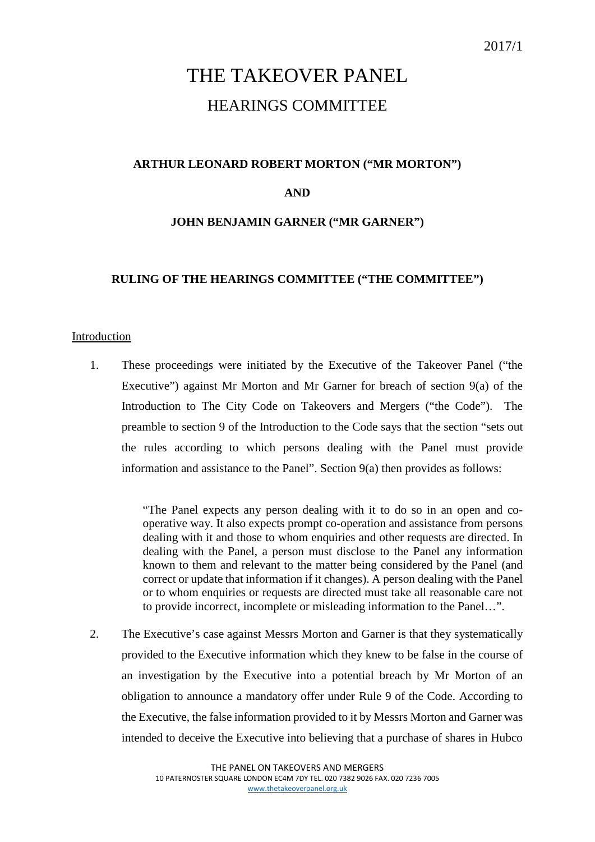# THE TAKEOVER PANEL HEARINGS COMMITTEE

## **ARTHUR LEONARD ROBERT MORTON ("MR MORTON")**

## **AND**

## **JOHN BENJAMIN GARNER ("MR GARNER")**

## **RULING OF THE HEARINGS COMMITTEE ("THE COMMITTEE")**

### Introduction

1. These proceedings were initiated by the Executive of the Takeover Panel ("the Executive") against Mr Morton and Mr Garner for breach of section 9(a) of the Introduction to The City Code on Takeovers and Mergers ("the Code"). The preamble to section 9 of the Introduction to the Code says that the section "sets out the rules according to which persons dealing with the Panel must provide information and assistance to the Panel". Section 9(a) then provides as follows:

> "The Panel expects any person dealing with it to do so in an open and cooperative way. It also expects prompt co-operation and assistance from persons dealing with it and those to whom enquiries and other requests are directed. In dealing with the Panel, a person must disclose to the Panel any information known to them and relevant to the matter being considered by the Panel (and correct or update that information if it changes). A person dealing with the Panel or to whom enquiries or requests are directed must take all reasonable care not to provide incorrect, incomplete or misleading information to the Panel…".

2. The Executive's case against Messrs Morton and Garner is that they systematically provided to the Executive information which they knew to be false in the course of an investigation by the Executive into a potential breach by Mr Morton of an obligation to announce a mandatory offer under Rule 9 of the Code. According to the Executive, the false information provided to it by Messrs Morton and Garner was intended to deceive the Executive into believing that a purchase of shares in Hubco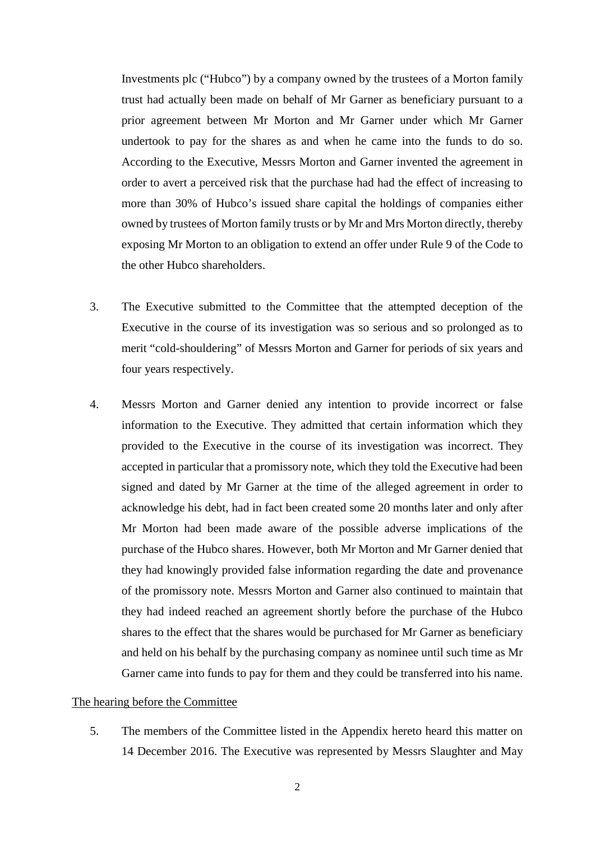Investments plc ("Hubco") by a company owned by the trustees of a Morton family trust had actually been made on behalf of Mr Garner as beneficiary pursuant to a prior agreement between Mr Morton and Mr Garner under which Mr Garner undertook to pay for the shares as and when he came into the funds to do so. According to the Executive, Messrs Morton and Garner invented the agreement in order to avert a perceived risk that the purchase had had the effect of increasing to more than 30% of Hubco's issued share capital the holdings of companies either owned by trustees of Morton family trusts or by Mr and Mrs Morton directly, thereby exposing Mr Morton to an obligation to extend an offer under Rule 9 of the Code to the other Hubco shareholders.

- 3. The Executive submitted to the Committee that the attempted deception of the Executive in the course of its investigation was so serious and so prolonged as to merit "cold-shouldering" of Messrs Morton and Garner for periods of six years and four years respectively.
- 4. Messrs Morton and Garner denied any intention to provide incorrect or false information to the Executive. They admitted that certain information which they provided to the Executive in the course of its investigation was incorrect. They accepted in particular that a promissory note, which they told the Executive had been signed and dated by Mr Garner at the time of the alleged agreement in order to acknowledge his debt, had in fact been created some 20 months later and only after Mr Morton had been made aware of the possible adverse implications of the purchase of the Hubco shares. However, both Mr Morton and Mr Garner denied that they had knowingly provided false information regarding the date and provenance of the promissory note. Messrs Morton and Garner also continued to maintain that they had indeed reached an agreement shortly before the purchase of the Hubco shares to the effect that the shares would be purchased for Mr Garner as beneficiary and held on his behalf by the purchasing company as nominee until such time as Mr Garner came into funds to pay for them and they could be transferred into his name.

#### The hearing before the Committee

5. The members of the Committee listed in the Appendix hereto heard this matter on 14 December 2016. The Executive was represented by Messrs Slaughter and May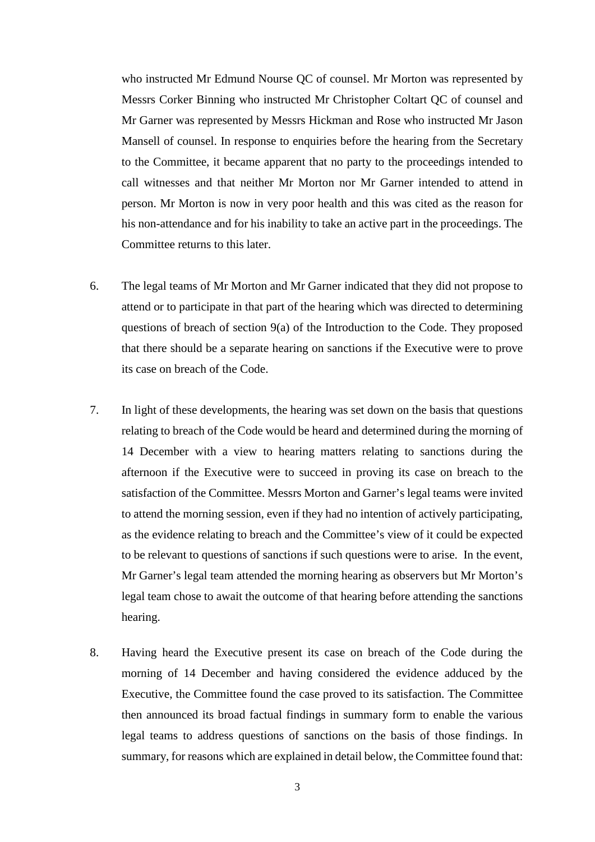who instructed Mr Edmund Nourse QC of counsel. Mr Morton was represented by Messrs Corker Binning who instructed Mr Christopher Coltart QC of counsel and Mr Garner was represented by Messrs Hickman and Rose who instructed Mr Jason Mansell of counsel. In response to enquiries before the hearing from the Secretary to the Committee, it became apparent that no party to the proceedings intended to call witnesses and that neither Mr Morton nor Mr Garner intended to attend in person. Mr Morton is now in very poor health and this was cited as the reason for his non-attendance and for his inability to take an active part in the proceedings. The Committee returns to this later.

- 6. The legal teams of Mr Morton and Mr Garner indicated that they did not propose to attend or to participate in that part of the hearing which was directed to determining questions of breach of section 9(a) of the Introduction to the Code. They proposed that there should be a separate hearing on sanctions if the Executive were to prove its case on breach of the Code.
- 7. In light of these developments, the hearing was set down on the basis that questions relating to breach of the Code would be heard and determined during the morning of 14 December with a view to hearing matters relating to sanctions during the afternoon if the Executive were to succeed in proving its case on breach to the satisfaction of the Committee. Messrs Morton and Garner's legal teams were invited to attend the morning session, even if they had no intention of actively participating, as the evidence relating to breach and the Committee's view of it could be expected to be relevant to questions of sanctions if such questions were to arise. In the event, Mr Garner's legal team attended the morning hearing as observers but Mr Morton's legal team chose to await the outcome of that hearing before attending the sanctions hearing.
- 8. Having heard the Executive present its case on breach of the Code during the morning of 14 December and having considered the evidence adduced by the Executive, the Committee found the case proved to its satisfaction. The Committee then announced its broad factual findings in summary form to enable the various legal teams to address questions of sanctions on the basis of those findings. In summary, for reasons which are explained in detail below, the Committee found that: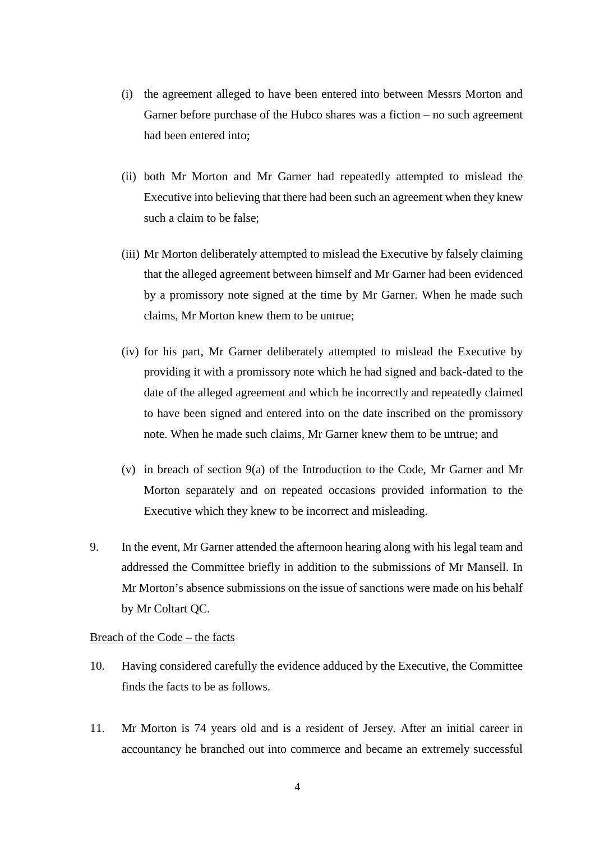- (i) the agreement alleged to have been entered into between Messrs Morton and Garner before purchase of the Hubco shares was a fiction – no such agreement had been entered into;
- (ii) both Mr Morton and Mr Garner had repeatedly attempted to mislead the Executive into believing that there had been such an agreement when they knew such a claim to be false;
- (iii) Mr Morton deliberately attempted to mislead the Executive by falsely claiming that the alleged agreement between himself and Mr Garner had been evidenced by a promissory note signed at the time by Mr Garner. When he made such claims, Mr Morton knew them to be untrue;
- (iv) for his part, Mr Garner deliberately attempted to mislead the Executive by providing it with a promissory note which he had signed and back-dated to the date of the alleged agreement and which he incorrectly and repeatedly claimed to have been signed and entered into on the date inscribed on the promissory note. When he made such claims, Mr Garner knew them to be untrue; and
- (v) in breach of section 9(a) of the Introduction to the Code, Mr Garner and Mr Morton separately and on repeated occasions provided information to the Executive which they knew to be incorrect and misleading.
- 9. In the event, Mr Garner attended the afternoon hearing along with his legal team and addressed the Committee briefly in addition to the submissions of Mr Mansell. In Mr Morton's absence submissions on the issue of sanctions were made on his behalf by Mr Coltart QC.

#### Breach of the Code – the facts

- 10. Having considered carefully the evidence adduced by the Executive, the Committee finds the facts to be as follows.
- 11. Mr Morton is 74 years old and is a resident of Jersey. After an initial career in accountancy he branched out into commerce and became an extremely successful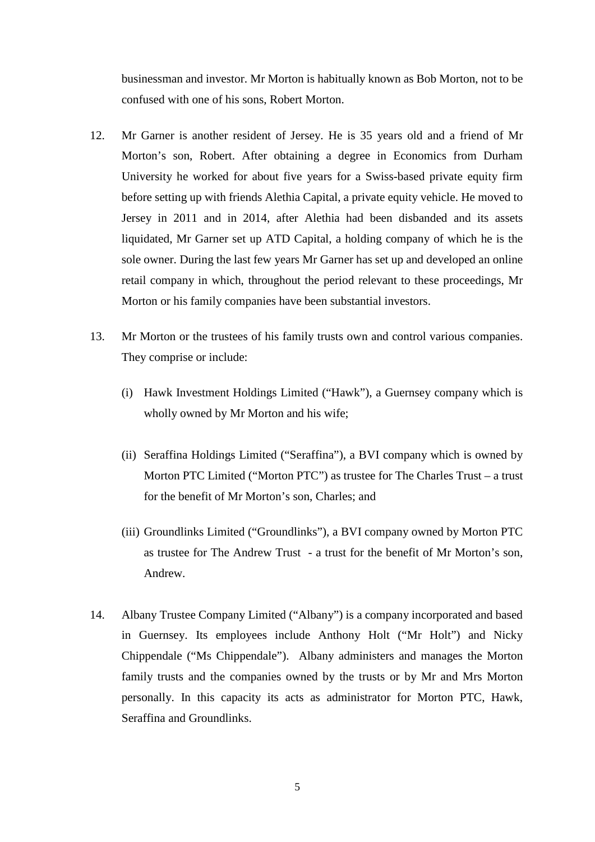businessman and investor. Mr Morton is habitually known as Bob Morton, not to be confused with one of his sons, Robert Morton.

- 12. Mr Garner is another resident of Jersey. He is 35 years old and a friend of Mr Morton's son, Robert. After obtaining a degree in Economics from Durham University he worked for about five years for a Swiss-based private equity firm before setting up with friends Alethia Capital, a private equity vehicle. He moved to Jersey in 2011 and in 2014, after Alethia had been disbanded and its assets liquidated, Mr Garner set up ATD Capital, a holding company of which he is the sole owner. During the last few years Mr Garner has set up and developed an online retail company in which, throughout the period relevant to these proceedings, Mr Morton or his family companies have been substantial investors.
- 13. Mr Morton or the trustees of his family trusts own and control various companies. They comprise or include:
	- (i) Hawk Investment Holdings Limited ("Hawk"), a Guernsey company which is wholly owned by Mr Morton and his wife;
	- (ii) Seraffina Holdings Limited ("Seraffina"), a BVI company which is owned by Morton PTC Limited ("Morton PTC") as trustee for The Charles Trust – a trust for the benefit of Mr Morton's son, Charles; and
	- (iii) Groundlinks Limited ("Groundlinks"), a BVI company owned by Morton PTC as trustee for The Andrew Trust - a trust for the benefit of Mr Morton's son, Andrew.
- 14. Albany Trustee Company Limited ("Albany") is a company incorporated and based in Guernsey. Its employees include Anthony Holt ("Mr Holt") and Nicky Chippendale ("Ms Chippendale"). Albany administers and manages the Morton family trusts and the companies owned by the trusts or by Mr and Mrs Morton personally. In this capacity its acts as administrator for Morton PTC, Hawk, Seraffina and Groundlinks.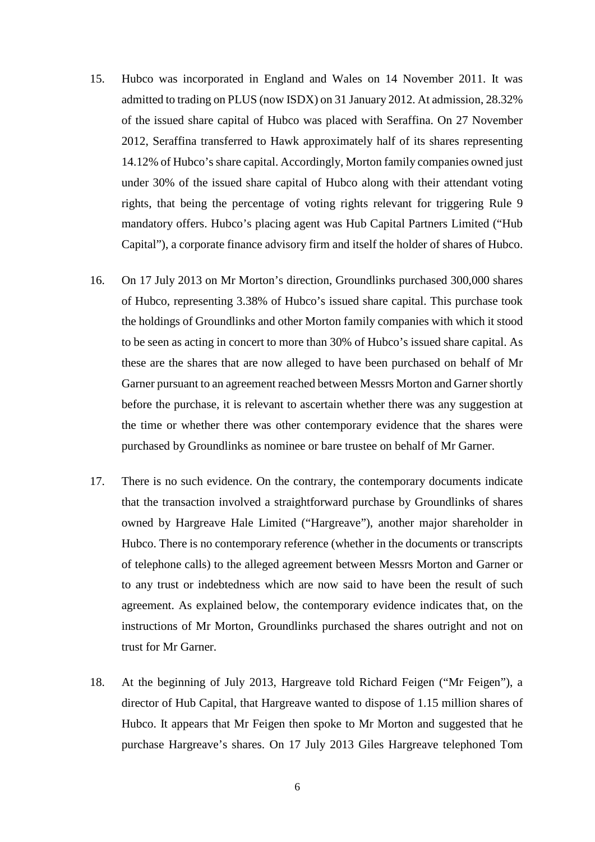- 15. Hubco was incorporated in England and Wales on 14 November 2011. It was admitted to trading on PLUS (now ISDX) on 31 January 2012. At admission, 28.32% of the issued share capital of Hubco was placed with Seraffina. On 27 November 2012, Seraffina transferred to Hawk approximately half of its shares representing 14.12% of Hubco's share capital. Accordingly, Morton family companies owned just under 30% of the issued share capital of Hubco along with their attendant voting rights, that being the percentage of voting rights relevant for triggering Rule 9 mandatory offers. Hubco's placing agent was Hub Capital Partners Limited ("Hub Capital"), a corporate finance advisory firm and itself the holder of shares of Hubco.
- 16. On 17 July 2013 on Mr Morton's direction, Groundlinks purchased 300,000 shares of Hubco, representing 3.38% of Hubco's issued share capital. This purchase took the holdings of Groundlinks and other Morton family companies with which it stood to be seen as acting in concert to more than 30% of Hubco's issued share capital. As these are the shares that are now alleged to have been purchased on behalf of Mr Garner pursuant to an agreement reached between Messrs Morton and Garner shortly before the purchase, it is relevant to ascertain whether there was any suggestion at the time or whether there was other contemporary evidence that the shares were purchased by Groundlinks as nominee or bare trustee on behalf of Mr Garner.
- 17. There is no such evidence. On the contrary, the contemporary documents indicate that the transaction involved a straightforward purchase by Groundlinks of shares owned by Hargreave Hale Limited ("Hargreave"), another major shareholder in Hubco. There is no contemporary reference (whether in the documents or transcripts of telephone calls) to the alleged agreement between Messrs Morton and Garner or to any trust or indebtedness which are now said to have been the result of such agreement. As explained below, the contemporary evidence indicates that, on the instructions of Mr Morton, Groundlinks purchased the shares outright and not on trust for Mr Garner.
- 18. At the beginning of July 2013, Hargreave told Richard Feigen ("Mr Feigen"), a director of Hub Capital, that Hargreave wanted to dispose of 1.15 million shares of Hubco. It appears that Mr Feigen then spoke to Mr Morton and suggested that he purchase Hargreave's shares. On 17 July 2013 Giles Hargreave telephoned Tom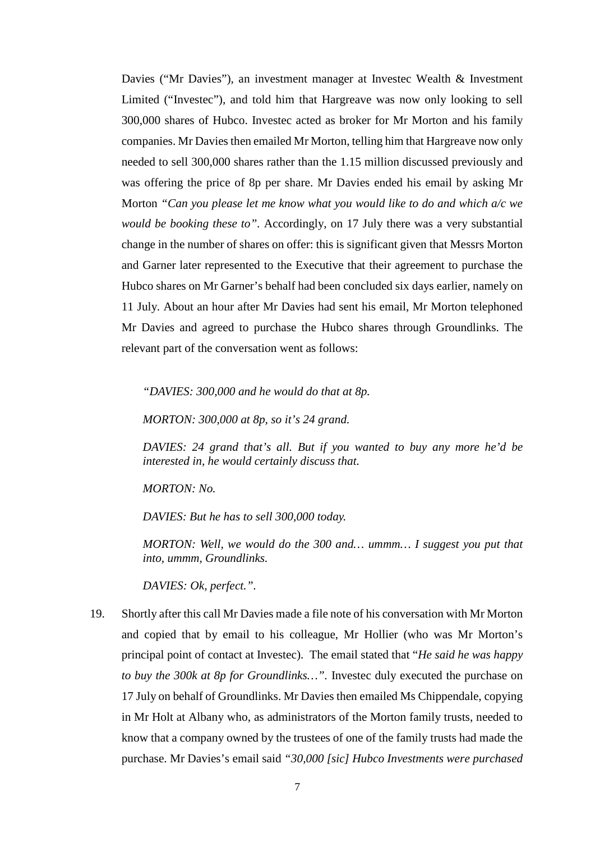Davies ("Mr Davies"), an investment manager at Invested Wealth & Investment Limited ("Investec"), and told him that Hargreave was now only looking to sell 300,000 shares of Hubco. Investec acted as broker for Mr Morton and his family companies. Mr Davies then emailed Mr Morton, telling him that Hargreave now only needed to sell 300,000 shares rather than the 1.15 million discussed previously and was offering the price of 8p per share. Mr Davies ended his email by asking Mr Morton *"Can you please let me know what you would like to do and which a/c we would be booking these to".* Accordingly, on 17 July there was a very substantial change in the number of shares on offer: this is significant given that Messrs Morton and Garner later represented to the Executive that their agreement to purchase the Hubco shares on Mr Garner's behalf had been concluded six days earlier, namely on 11 July. About an hour after Mr Davies had sent his email, Mr Morton telephoned Mr Davies and agreed to purchase the Hubco shares through Groundlinks. The relevant part of the conversation went as follows:

*"DAVIES: 300,000 and he would do that at 8p.*

*MORTON: 300,000 at 8p, so it's 24 grand.*

*DAVIES: 24 grand that's all. But if you wanted to buy any more he'd be interested in, he would certainly discuss that.*

*MORTON: No.*

*DAVIES: But he has to sell 300,000 today.*

*MORTON: Well, we would do the 300 and… ummm… I suggest you put that into, ummm, Groundlinks.*

*DAVIES: Ok, perfect.".*

19. Shortly after this call Mr Davies made a file note of his conversation with Mr Morton and copied that by email to his colleague, Mr Hollier (who was Mr Morton's principal point of contact at Investec). The email stated that "*He said he was happy to buy the 300k at 8p for Groundlinks…".* Investec duly executed the purchase on 17 July on behalf of Groundlinks. Mr Davies then emailed Ms Chippendale, copying in Mr Holt at Albany who, as administrators of the Morton family trusts, needed to know that a company owned by the trustees of one of the family trusts had made the purchase. Mr Davies's email said *"30,000 [sic] Hubco Investments were purchased*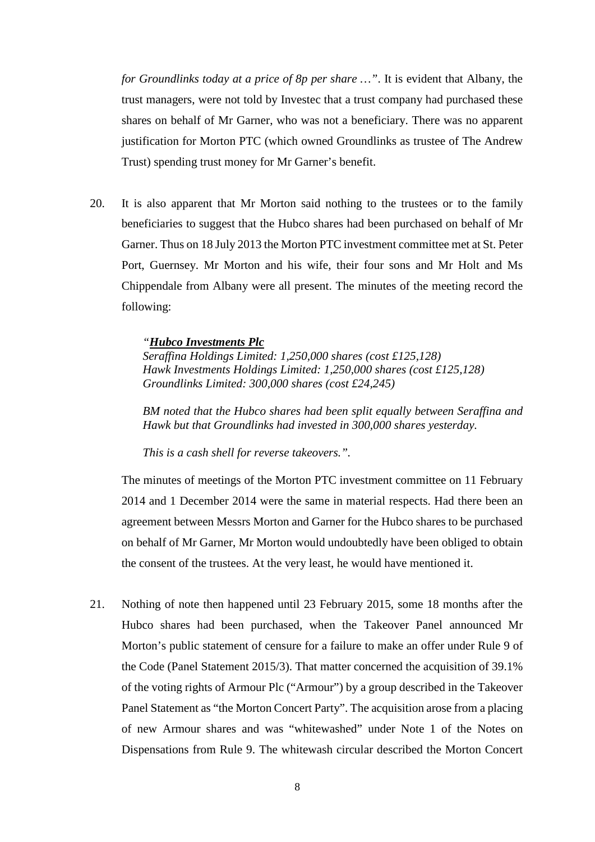*for Groundlinks today at a price of 8p per share …"*. It is evident that Albany, the trust managers, were not told by Investec that a trust company had purchased these shares on behalf of Mr Garner, who was not a beneficiary. There was no apparent justification for Morton PTC (which owned Groundlinks as trustee of The Andrew Trust) spending trust money for Mr Garner's benefit.

20. It is also apparent that Mr Morton said nothing to the trustees or to the family beneficiaries to suggest that the Hubco shares had been purchased on behalf of Mr Garner. Thus on 18 July 2013 the Morton PTC investment committee met at St. Peter Port, Guernsey. Mr Morton and his wife, their four sons and Mr Holt and Ms Chippendale from Albany were all present. The minutes of the meeting record the following:

#### *"Hubco Investments Plc*

*Seraffina Holdings Limited: 1,250,000 shares (cost £125,128) Hawk Investments Holdings Limited: 1,250,000 shares (cost £125,128) Groundlinks Limited: 300,000 shares (cost £24,245)*

*BM noted that the Hubco shares had been split equally between Seraffina and Hawk but that Groundlinks had invested in 300,000 shares yesterday.*

*This is a cash shell for reverse takeovers.".*

The minutes of meetings of the Morton PTC investment committee on 11 February 2014 and 1 December 2014 were the same in material respects. Had there been an agreement between Messrs Morton and Garner for the Hubco shares to be purchased on behalf of Mr Garner, Mr Morton would undoubtedly have been obliged to obtain the consent of the trustees. At the very least, he would have mentioned it.

21. Nothing of note then happened until 23 February 2015, some 18 months after the Hubco shares had been purchased, when the Takeover Panel announced Mr Morton's public statement of censure for a failure to make an offer under Rule 9 of the Code (Panel Statement 2015/3). That matter concerned the acquisition of 39.1% of the voting rights of Armour Plc ("Armour") by a group described in the Takeover Panel Statement as "the Morton Concert Party". The acquisition arose from a placing of new Armour shares and was "whitewashed" under Note 1 of the Notes on Dispensations from Rule 9. The whitewash circular described the Morton Concert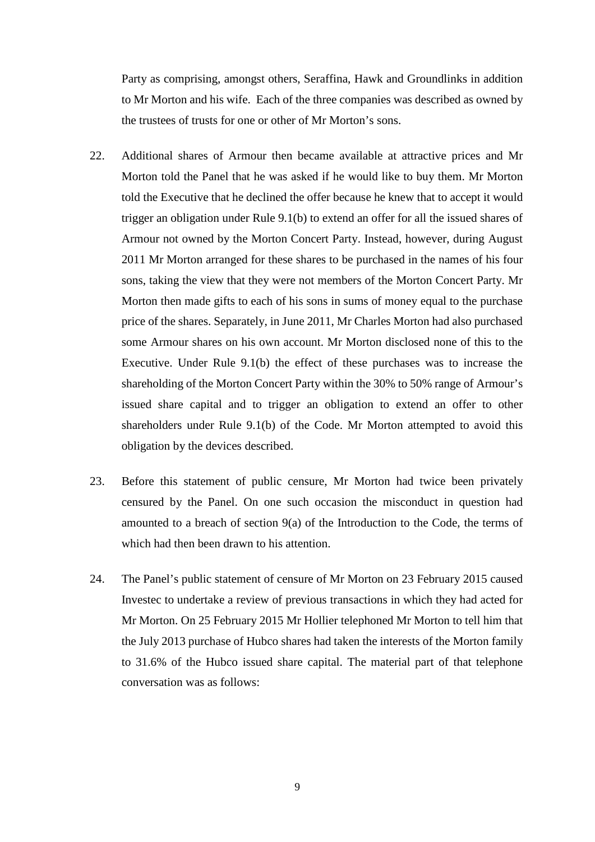Party as comprising, amongst others, Seraffina, Hawk and Groundlinks in addition to Mr Morton and his wife. Each of the three companies was described as owned by the trustees of trusts for one or other of Mr Morton's sons.

- 22. Additional shares of Armour then became available at attractive prices and Mr Morton told the Panel that he was asked if he would like to buy them. Mr Morton told the Executive that he declined the offer because he knew that to accept it would trigger an obligation under Rule 9.1(b) to extend an offer for all the issued shares of Armour not owned by the Morton Concert Party. Instead, however, during August 2011 Mr Morton arranged for these shares to be purchased in the names of his four sons, taking the view that they were not members of the Morton Concert Party. Mr Morton then made gifts to each of his sons in sums of money equal to the purchase price of the shares. Separately, in June 2011, Mr Charles Morton had also purchased some Armour shares on his own account. Mr Morton disclosed none of this to the Executive. Under Rule 9.1(b) the effect of these purchases was to increase the shareholding of the Morton Concert Party within the 30% to 50% range of Armour's issued share capital and to trigger an obligation to extend an offer to other shareholders under Rule 9.1(b) of the Code. Mr Morton attempted to avoid this obligation by the devices described.
- 23. Before this statement of public censure, Mr Morton had twice been privately censured by the Panel. On one such occasion the misconduct in question had amounted to a breach of section 9(a) of the Introduction to the Code, the terms of which had then been drawn to his attention.
- 24. The Panel's public statement of censure of Mr Morton on 23 February 2015 caused Investec to undertake a review of previous transactions in which they had acted for Mr Morton. On 25 February 2015 Mr Hollier telephoned Mr Morton to tell him that the July 2013 purchase of Hubco shares had taken the interests of the Morton family to 31.6% of the Hubco issued share capital. The material part of that telephone conversation was as follows: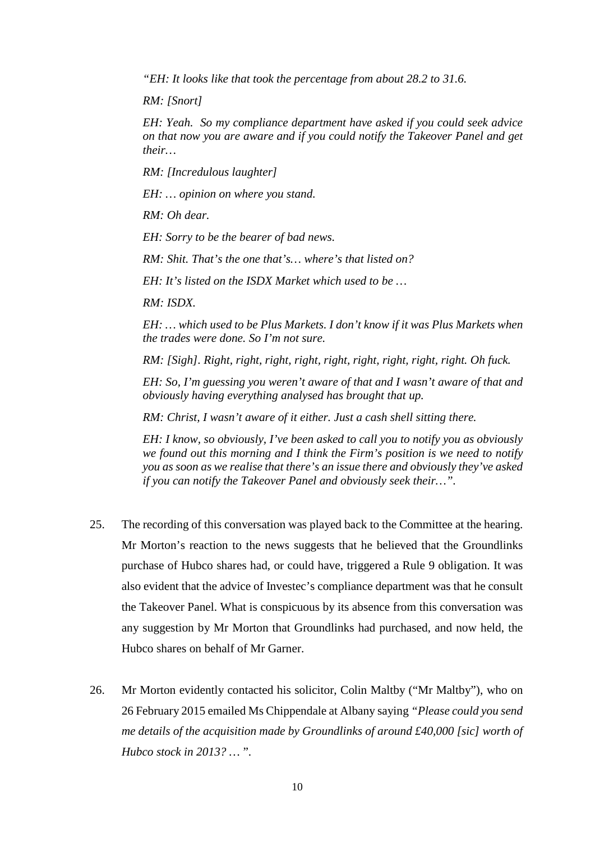*"EH: It looks like that took the percentage from about 28.2 to 31.6.*

*RM: [Snort]*

*EH: Yeah. So my compliance department have asked if you could seek advice on that now you are aware and if you could notify the Takeover Panel and get their…*

*RM: [Incredulous laughter]*

*EH: … opinion on where you stand.*

*RM: Oh dear.*

*EH: Sorry to be the bearer of bad news.*

*RM: Shit. That's the one that's… where's that listed on?*

*EH: It's listed on the ISDX Market which used to be …*

*RM: ISDX.*

*EH: … which used to be Plus Markets. I don't know if it was Plus Markets when the trades were done. So I'm not sure.*

*RM: [Sigh]. Right, right, right, right, right, right, right, right, right. Oh fuck.*

*EH: So, I'm guessing you weren't aware of that and I wasn't aware of that and obviously having everything analysed has brought that up.*

*RM: Christ, I wasn't aware of it either. Just a cash shell sitting there.*

*EH: I know, so obviously, I've been asked to call you to notify you as obviously we found out this morning and I think the Firm's position is we need to notify you as soon as we realise that there's an issue there and obviously they've asked if you can notify the Takeover Panel and obviously seek their…".*

- 25. The recording of this conversation was played back to the Committee at the hearing. Mr Morton's reaction to the news suggests that he believed that the Groundlinks purchase of Hubco shares had, or could have, triggered a Rule 9 obligation. It was also evident that the advice of Investec's compliance department was that he consult the Takeover Panel. What is conspicuous by its absence from this conversation was any suggestion by Mr Morton that Groundlinks had purchased, and now held, the Hubco shares on behalf of Mr Garner.
- 26. Mr Morton evidently contacted his solicitor, Colin Maltby ("Mr Maltby"), who on 26 February 2015 emailed Ms Chippendale at Albany saying *"Please could you send me details of the acquisition made by Groundlinks of around £40,000 [sic] worth of Hubco stock in 2013? …* ".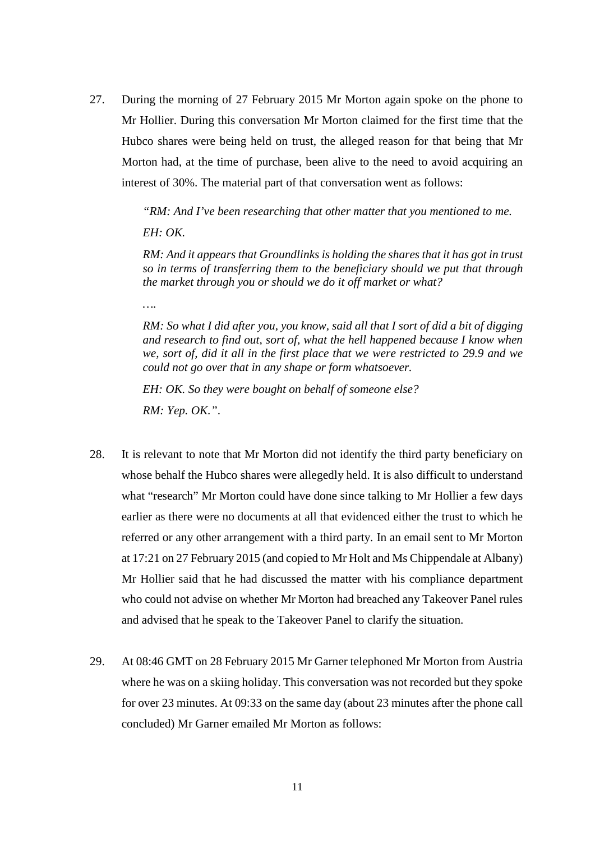27. During the morning of 27 February 2015 Mr Morton again spoke on the phone to Mr Hollier. During this conversation Mr Morton claimed for the first time that the Hubco shares were being held on trust, the alleged reason for that being that Mr Morton had, at the time of purchase, been alive to the need to avoid acquiring an interest of 30%. The material part of that conversation went as follows:

> *"RM: And I've been researching that other matter that you mentioned to me. EH: OK.*

*RM: And it appears that Groundlinks is holding the shares that it has got in trust so in terms of transferring them to the beneficiary should we put that through the market through you or should we do it off market or what?*

*….*

*RM: So what I did after you, you know, said all that I sort of did a bit of digging and research to find out, sort of, what the hell happened because I know when we, sort of, did it all in the first place that we were restricted to 29.9 and we could not go over that in any shape or form whatsoever.*

*EH: OK. So they were bought on behalf of someone else?*

*RM: Yep. OK."*.

- 28. It is relevant to note that Mr Morton did not identify the third party beneficiary on whose behalf the Hubco shares were allegedly held. It is also difficult to understand what "research" Mr Morton could have done since talking to Mr Hollier a few days earlier as there were no documents at all that evidenced either the trust to which he referred or any other arrangement with a third party. In an email sent to Mr Morton at 17:21 on 27 February 2015 (and copied to Mr Holt and Ms Chippendale at Albany) Mr Hollier said that he had discussed the matter with his compliance department who could not advise on whether Mr Morton had breached any Takeover Panel rules and advised that he speak to the Takeover Panel to clarify the situation.
- 29. At 08:46 GMT on 28 February 2015 Mr Garner telephoned Mr Morton from Austria where he was on a skiing holiday. This conversation was not recorded but they spoke for over 23 minutes. At 09:33 on the same day (about 23 minutes after the phone call concluded) Mr Garner emailed Mr Morton as follows: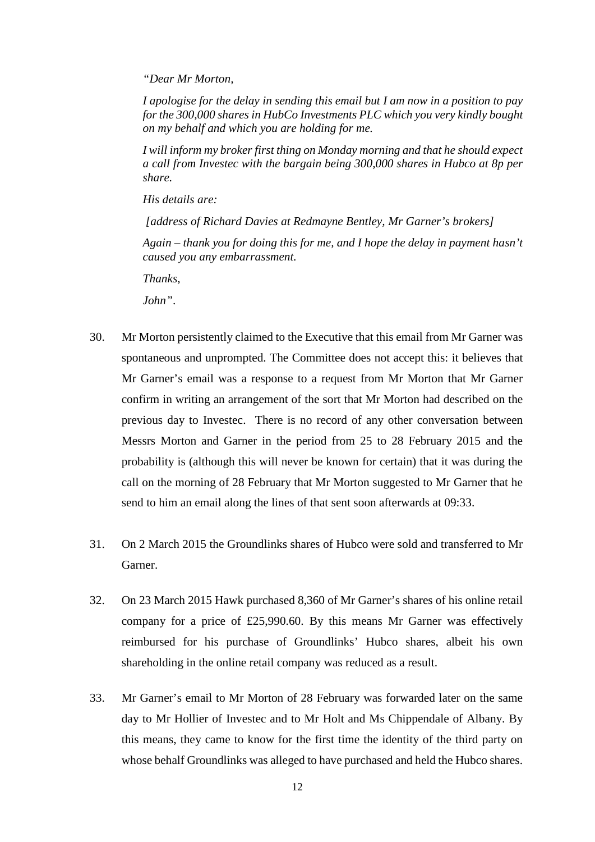*"Dear Mr Morton,*

*I apologise for the delay in sending this email but I am now in a position to pay for the 300,000 shares in HubCo Investments PLC which you very kindly bought on my behalf and which you are holding for me.*

*I will inform my broker first thing on Monday morning and that he should expect a call from Investec with the bargain being 300,000 shares in Hubco at 8p per share.*

*His details are:*

*[address of Richard Davies at Redmayne Bentley, Mr Garner's brokers]*

*Again – thank you for doing this for me, and I hope the delay in payment hasn't caused you any embarrassment.*

*Thanks,*

*John"*.

- 30. Mr Morton persistently claimed to the Executive that this email from Mr Garner was spontaneous and unprompted. The Committee does not accept this: it believes that Mr Garner's email was a response to a request from Mr Morton that Mr Garner confirm in writing an arrangement of the sort that Mr Morton had described on the previous day to Investec. There is no record of any other conversation between Messrs Morton and Garner in the period from 25 to 28 February 2015 and the probability is (although this will never be known for certain) that it was during the call on the morning of 28 February that Mr Morton suggested to Mr Garner that he send to him an email along the lines of that sent soon afterwards at 09:33.
- 31. On 2 March 2015 the Groundlinks shares of Hubco were sold and transferred to Mr Garner.
- 32. On 23 March 2015 Hawk purchased 8,360 of Mr Garner's shares of his online retail company for a price of £25,990.60. By this means Mr Garner was effectively reimbursed for his purchase of Groundlinks' Hubco shares, albeit his own shareholding in the online retail company was reduced as a result.
- 33. Mr Garner's email to Mr Morton of 28 February was forwarded later on the same day to Mr Hollier of Investec and to Mr Holt and Ms Chippendale of Albany. By this means, they came to know for the first time the identity of the third party on whose behalf Groundlinks was alleged to have purchased and held the Hubco shares.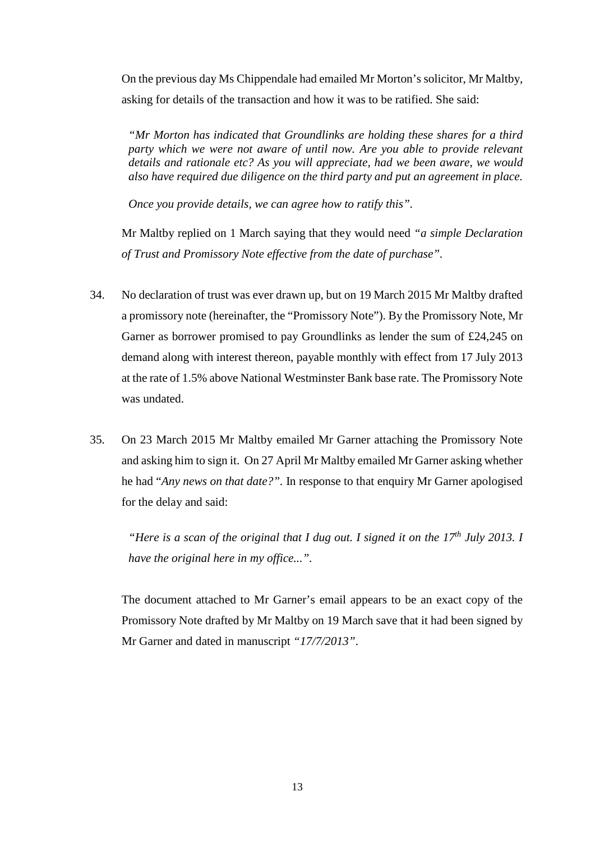On the previous day Ms Chippendale had emailed Mr Morton's solicitor, Mr Maltby, asking for details of the transaction and how it was to be ratified. She said:

*"Mr Morton has indicated that Groundlinks are holding these shares for a third party which we were not aware of until now. Are you able to provide relevant details and rationale etc? As you will appreciate, had we been aware, we would also have required due diligence on the third party and put an agreement in place.* 

*Once you provide details, we can agree how to ratify this".*

Mr Maltby replied on 1 March saying that they would need *"a simple Declaration of Trust and Promissory Note effective from the date of purchase".*

- 34. No declaration of trust was ever drawn up, but on 19 March 2015 Mr Maltby drafted a promissory note (hereinafter, the "Promissory Note"). By the Promissory Note, Mr Garner as borrower promised to pay Groundlinks as lender the sum of £24,245 on demand along with interest thereon, payable monthly with effect from 17 July 2013 at the rate of 1.5% above National Westminster Bank base rate. The Promissory Note was undated.
- 35. On 23 March 2015 Mr Maltby emailed Mr Garner attaching the Promissory Note and asking him to sign it. On 27 April Mr Maltby emailed Mr Garner asking whether he had "*Any news on that date?".* In response to that enquiry Mr Garner apologised for the delay and said:

*"Here is a scan of the original that I dug out. I signed it on the 17th July 2013. I have the original here in my office...".*

The document attached to Mr Garner's email appears to be an exact copy of the Promissory Note drafted by Mr Maltby on 19 March save that it had been signed by Mr Garner and dated in manuscript *"17/7/2013"*.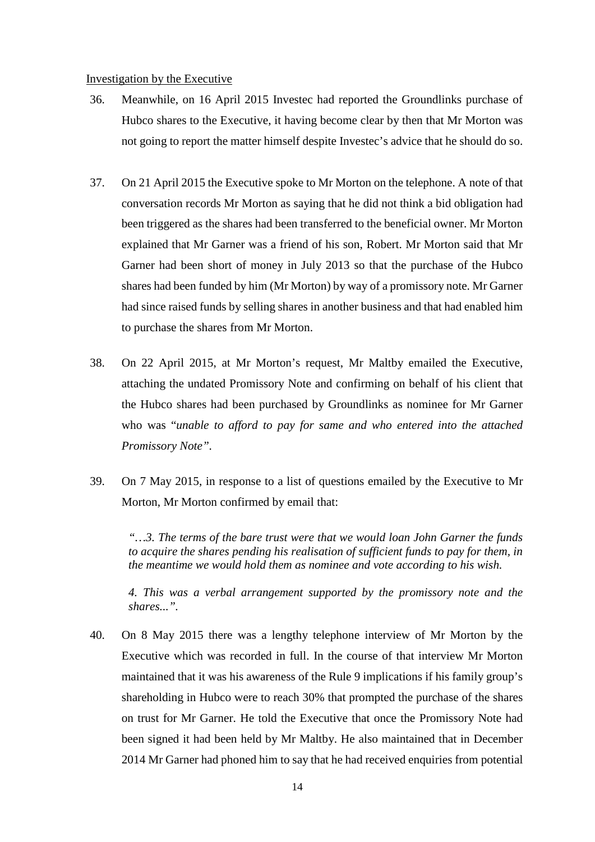#### Investigation by the Executive

- 36. Meanwhile, on 16 April 2015 Investec had reported the Groundlinks purchase of Hubco shares to the Executive, it having become clear by then that Mr Morton was not going to report the matter himself despite Investec's advice that he should do so.
- 37. On 21 April 2015 the Executive spoke to Mr Morton on the telephone. A note of that conversation records Mr Morton as saying that he did not think a bid obligation had been triggered as the shares had been transferred to the beneficial owner. Mr Morton explained that Mr Garner was a friend of his son, Robert. Mr Morton said that Mr Garner had been short of money in July 2013 so that the purchase of the Hubco shares had been funded by him (Mr Morton) by way of a promissory note. Mr Garner had since raised funds by selling shares in another business and that had enabled him to purchase the shares from Mr Morton.
- 38. On 22 April 2015, at Mr Morton's request, Mr Maltby emailed the Executive, attaching the undated Promissory Note and confirming on behalf of his client that the Hubco shares had been purchased by Groundlinks as nominee for Mr Garner who was "*unable to afford to pay for same and who entered into the attached Promissory Note".*
- 39. On 7 May 2015, in response to a list of questions emailed by the Executive to Mr Morton, Mr Morton confirmed by email that:

*"…3. The terms of the bare trust were that we would loan John Garner the funds to acquire the shares pending his realisation of sufficient funds to pay for them, in the meantime we would hold them as nominee and vote according to his wish.*

*4. This was a verbal arrangement supported by the promissory note and the shares...".*

40. On 8 May 2015 there was a lengthy telephone interview of Mr Morton by the Executive which was recorded in full. In the course of that interview Mr Morton maintained that it was his awareness of the Rule 9 implications if his family group's shareholding in Hubco were to reach 30% that prompted the purchase of the shares on trust for Mr Garner. He told the Executive that once the Promissory Note had been signed it had been held by Mr Maltby. He also maintained that in December 2014 Mr Garner had phoned him to say that he had received enquiries from potential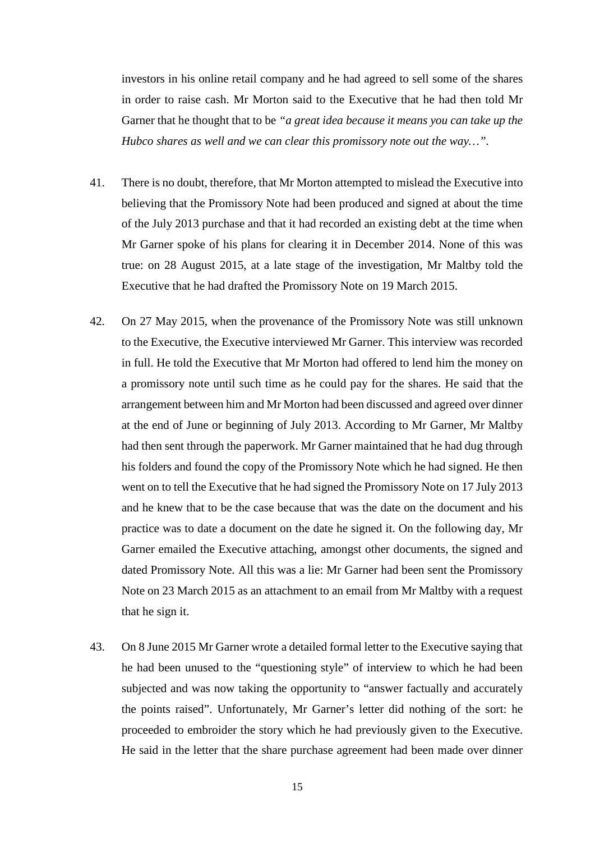investors in his online retail company and he had agreed to sell some of the shares in order to raise cash. Mr Morton said to the Executive that he had then told Mr Garner that he thought that to be *"a great idea because it means you can take up the Hubco shares as well and we can clear this promissory note out the way…".*

- 41. There is no doubt, therefore, that Mr Morton attempted to mislead the Executive into believing that the Promissory Note had been produced and signed at about the time of the July 2013 purchase and that it had recorded an existing debt at the time when Mr Garner spoke of his plans for clearing it in December 2014. None of this was true: on 28 August 2015, at a late stage of the investigation, Mr Maltby told the Executive that he had drafted the Promissory Note on 19 March 2015.
- 42. On 27 May 2015, when the provenance of the Promissory Note was still unknown to the Executive, the Executive interviewed Mr Garner. This interview was recorded in full. He told the Executive that Mr Morton had offered to lend him the money on a promissory note until such time as he could pay for the shares. He said that the arrangement between him and Mr Morton had been discussed and agreed over dinner at the end of June or beginning of July 2013. According to Mr Garner, Mr Maltby had then sent through the paperwork. Mr Garner maintained that he had dug through his folders and found the copy of the Promissory Note which he had signed. He then went on to tell the Executive that he had signed the Promissory Note on 17 July 2013 and he knew that to be the case because that was the date on the document and his practice was to date a document on the date he signed it. On the following day, Mr Garner emailed the Executive attaching, amongst other documents, the signed and dated Promissory Note. All this was a lie: Mr Garner had been sent the Promissory Note on 23 March 2015 as an attachment to an email from Mr Maltby with a request that he sign it.
- 43. On 8 June 2015 Mr Garner wrote a detailed formal letter to the Executive saying that he had been unused to the "questioning style" of interview to which he had been subjected and was now taking the opportunity to "answer factually and accurately the points raised". Unfortunately, Mr Garner's letter did nothing of the sort: he proceeded to embroider the story which he had previously given to the Executive. He said in the letter that the share purchase agreement had been made over dinner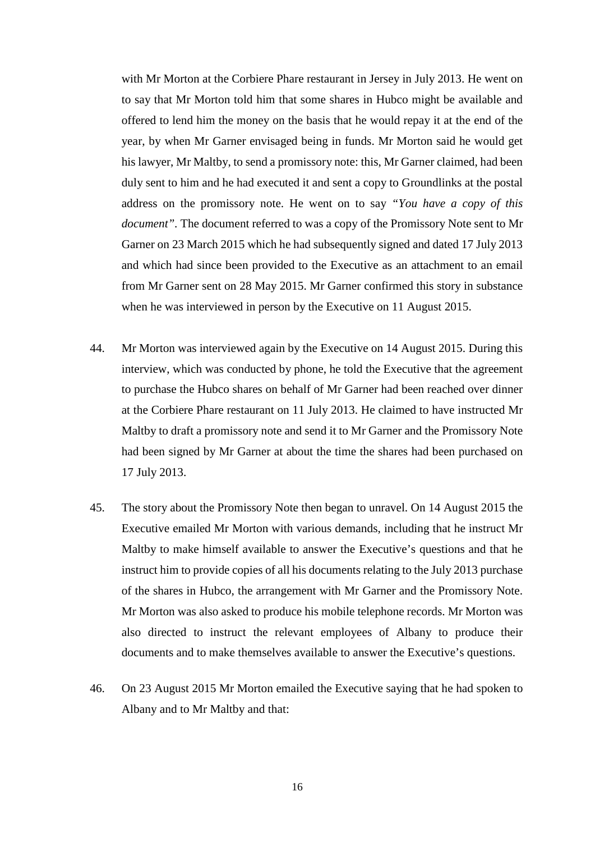with Mr Morton at the Corbiere Phare restaurant in Jersey in July 2013. He went on to say that Mr Morton told him that some shares in Hubco might be available and offered to lend him the money on the basis that he would repay it at the end of the year, by when Mr Garner envisaged being in funds. Mr Morton said he would get his lawyer, Mr Maltby, to send a promissory note: this, Mr Garner claimed, had been duly sent to him and he had executed it and sent a copy to Groundlinks at the postal address on the promissory note. He went on to say *"You have a copy of this document".* The document referred to was a copy of the Promissory Note sent to Mr Garner on 23 March 2015 which he had subsequently signed and dated 17 July 2013 and which had since been provided to the Executive as an attachment to an email from Mr Garner sent on 28 May 2015. Mr Garner confirmed this story in substance when he was interviewed in person by the Executive on 11 August 2015.

- 44. Mr Morton was interviewed again by the Executive on 14 August 2015. During this interview, which was conducted by phone, he told the Executive that the agreement to purchase the Hubco shares on behalf of Mr Garner had been reached over dinner at the Corbiere Phare restaurant on 11 July 2013. He claimed to have instructed Mr Maltby to draft a promissory note and send it to Mr Garner and the Promissory Note had been signed by Mr Garner at about the time the shares had been purchased on 17 July 2013.
- 45. The story about the Promissory Note then began to unravel. On 14 August 2015 the Executive emailed Mr Morton with various demands, including that he instruct Mr Maltby to make himself available to answer the Executive's questions and that he instruct him to provide copies of all his documents relating to the July 2013 purchase of the shares in Hubco, the arrangement with Mr Garner and the Promissory Note. Mr Morton was also asked to produce his mobile telephone records. Mr Morton was also directed to instruct the relevant employees of Albany to produce their documents and to make themselves available to answer the Executive's questions.
- 46. On 23 August 2015 Mr Morton emailed the Executive saying that he had spoken to Albany and to Mr Maltby and that: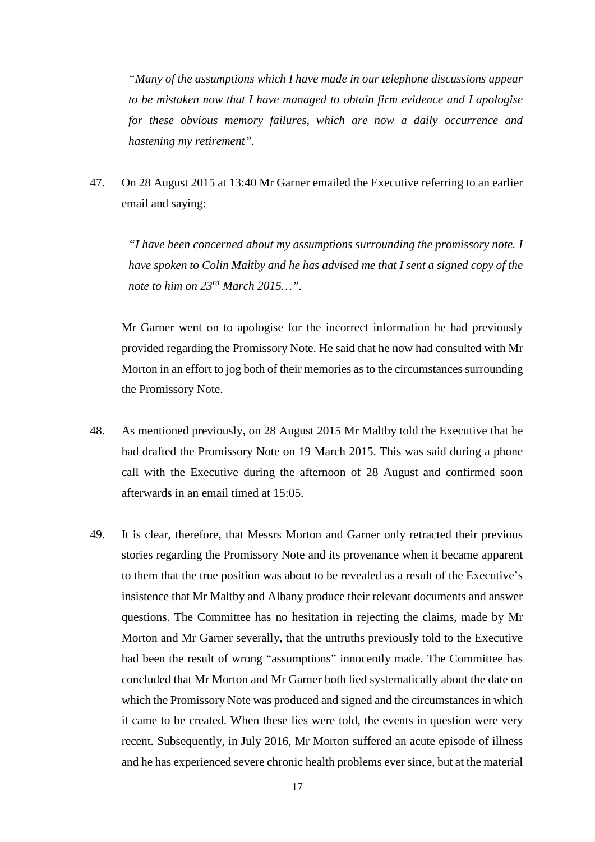*"Many of the assumptions which I have made in our telephone discussions appear to be mistaken now that I have managed to obtain firm evidence and I apologise for these obvious memory failures, which are now a daily occurrence and hastening my retirement".*

47. On 28 August 2015 at 13:40 Mr Garner emailed the Executive referring to an earlier email and saying:

*"I have been concerned about my assumptions surrounding the promissory note. I have spoken to Colin Maltby and he has advised me that I sent a signed copy of the note to him on 23rd March 2015…".*

Mr Garner went on to apologise for the incorrect information he had previously provided regarding the Promissory Note. He said that he now had consulted with Mr Morton in an effort to jog both of their memories as to the circumstances surrounding the Promissory Note.

- 48. As mentioned previously, on 28 August 2015 Mr Maltby told the Executive that he had drafted the Promissory Note on 19 March 2015. This was said during a phone call with the Executive during the afternoon of 28 August and confirmed soon afterwards in an email timed at 15:05.
- 49. It is clear, therefore, that Messrs Morton and Garner only retracted their previous stories regarding the Promissory Note and its provenance when it became apparent to them that the true position was about to be revealed as a result of the Executive's insistence that Mr Maltby and Albany produce their relevant documents and answer questions. The Committee has no hesitation in rejecting the claims, made by Mr Morton and Mr Garner severally, that the untruths previously told to the Executive had been the result of wrong "assumptions" innocently made. The Committee has concluded that Mr Morton and Mr Garner both lied systematically about the date on which the Promissory Note was produced and signed and the circumstances in which it came to be created. When these lies were told, the events in question were very recent. Subsequently, in July 2016, Mr Morton suffered an acute episode of illness and he has experienced severe chronic health problems ever since, but at the material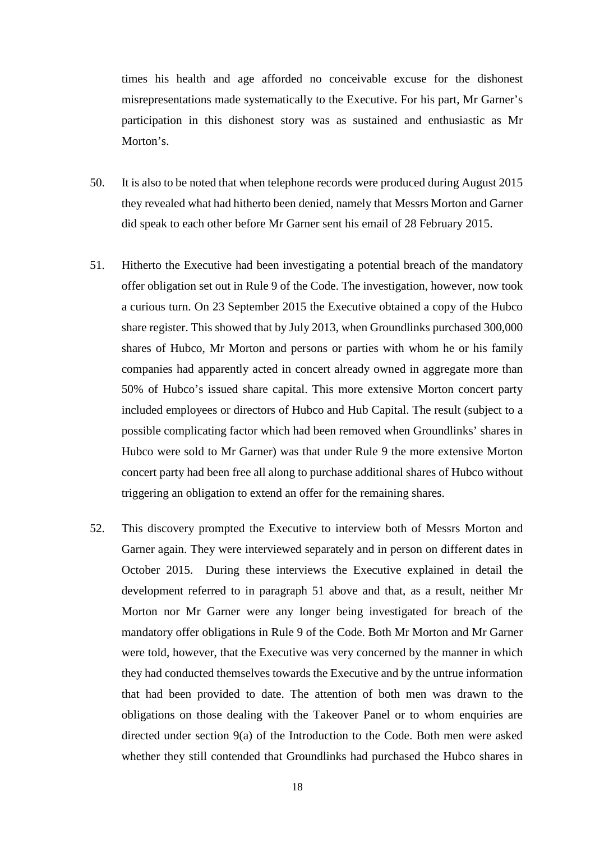times his health and age afforded no conceivable excuse for the dishonest misrepresentations made systematically to the Executive. For his part, Mr Garner's participation in this dishonest story was as sustained and enthusiastic as Mr Morton's

- 50. It is also to be noted that when telephone records were produced during August 2015 they revealed what had hitherto been denied, namely that Messrs Morton and Garner did speak to each other before Mr Garner sent his email of 28 February 2015.
- 51. Hitherto the Executive had been investigating a potential breach of the mandatory offer obligation set out in Rule 9 of the Code. The investigation, however, now took a curious turn. On 23 September 2015 the Executive obtained a copy of the Hubco share register. This showed that by July 2013, when Groundlinks purchased 300,000 shares of Hubco, Mr Morton and persons or parties with whom he or his family companies had apparently acted in concert already owned in aggregate more than 50% of Hubco's issued share capital. This more extensive Morton concert party included employees or directors of Hubco and Hub Capital. The result (subject to a possible complicating factor which had been removed when Groundlinks' shares in Hubco were sold to Mr Garner) was that under Rule 9 the more extensive Morton concert party had been free all along to purchase additional shares of Hubco without triggering an obligation to extend an offer for the remaining shares.
- 52. This discovery prompted the Executive to interview both of Messrs Morton and Garner again. They were interviewed separately and in person on different dates in October 2015. During these interviews the Executive explained in detail the development referred to in paragraph 51 above and that, as a result, neither Mr Morton nor Mr Garner were any longer being investigated for breach of the mandatory offer obligations in Rule 9 of the Code. Both Mr Morton and Mr Garner were told, however, that the Executive was very concerned by the manner in which they had conducted themselves towards the Executive and by the untrue information that had been provided to date. The attention of both men was drawn to the obligations on those dealing with the Takeover Panel or to whom enquiries are directed under section 9(a) of the Introduction to the Code. Both men were asked whether they still contended that Groundlinks had purchased the Hubco shares in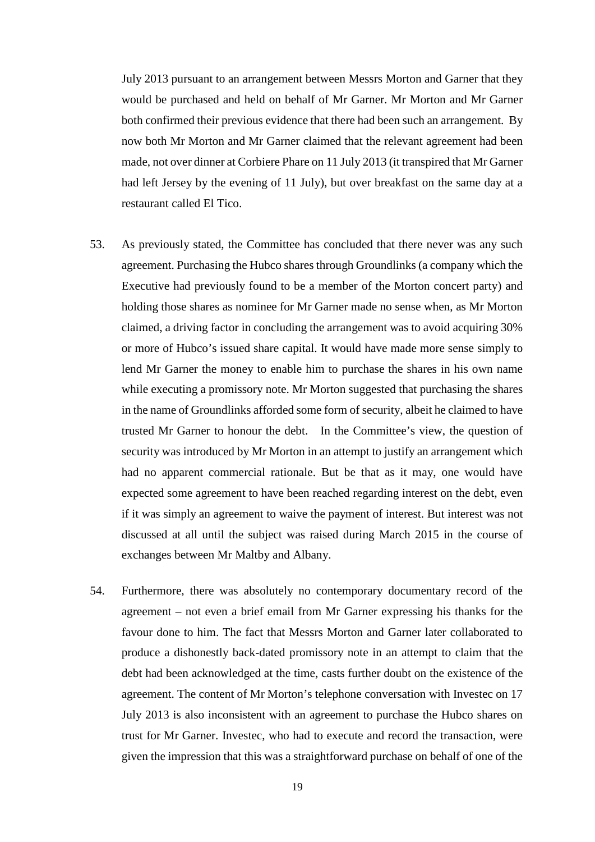July 2013 pursuant to an arrangement between Messrs Morton and Garner that they would be purchased and held on behalf of Mr Garner. Mr Morton and Mr Garner both confirmed their previous evidence that there had been such an arrangement. By now both Mr Morton and Mr Garner claimed that the relevant agreement had been made, not over dinner at Corbiere Phare on 11 July 2013 (it transpired that Mr Garner had left Jersey by the evening of 11 July), but over breakfast on the same day at a restaurant called El Tico.

- 53. As previously stated, the Committee has concluded that there never was any such agreement. Purchasing the Hubco shares through Groundlinks (a company which the Executive had previously found to be a member of the Morton concert party) and holding those shares as nominee for Mr Garner made no sense when, as Mr Morton claimed, a driving factor in concluding the arrangement was to avoid acquiring 30% or more of Hubco's issued share capital. It would have made more sense simply to lend Mr Garner the money to enable him to purchase the shares in his own name while executing a promissory note. Mr Morton suggested that purchasing the shares in the name of Groundlinks afforded some form of security, albeit he claimed to have trusted Mr Garner to honour the debt. In the Committee's view, the question of security was introduced by Mr Morton in an attempt to justify an arrangement which had no apparent commercial rationale. But be that as it may, one would have expected some agreement to have been reached regarding interest on the debt, even if it was simply an agreement to waive the payment of interest. But interest was not discussed at all until the subject was raised during March 2015 in the course of exchanges between Mr Maltby and Albany.
- 54. Furthermore, there was absolutely no contemporary documentary record of the agreement – not even a brief email from Mr Garner expressing his thanks for the favour done to him. The fact that Messrs Morton and Garner later collaborated to produce a dishonestly back-dated promissory note in an attempt to claim that the debt had been acknowledged at the time, casts further doubt on the existence of the agreement. The content of Mr Morton's telephone conversation with Investec on 17 July 2013 is also inconsistent with an agreement to purchase the Hubco shares on trust for Mr Garner. Investec, who had to execute and record the transaction, were given the impression that this was a straightforward purchase on behalf of one of the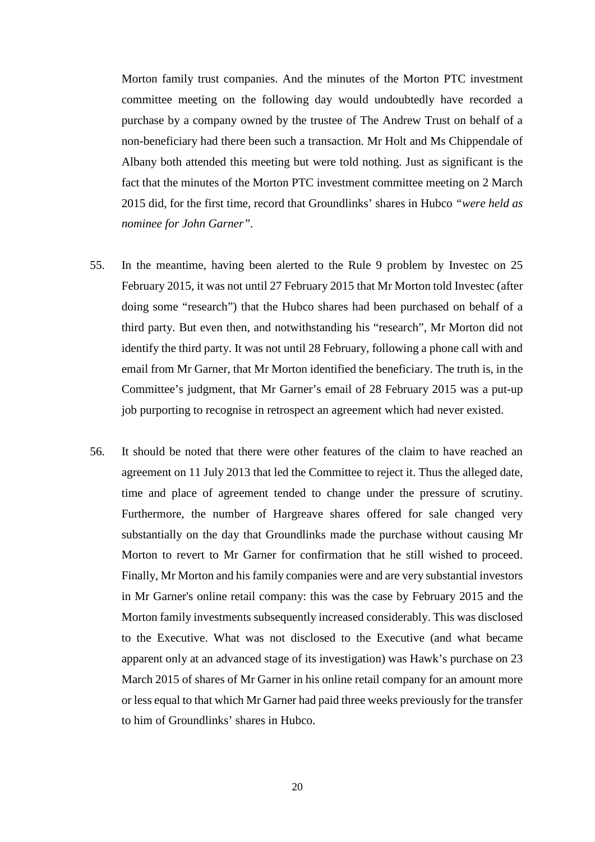Morton family trust companies. And the minutes of the Morton PTC investment committee meeting on the following day would undoubtedly have recorded a purchase by a company owned by the trustee of The Andrew Trust on behalf of a non-beneficiary had there been such a transaction. Mr Holt and Ms Chippendale of Albany both attended this meeting but were told nothing. Just as significant is the fact that the minutes of the Morton PTC investment committee meeting on 2 March 2015 did, for the first time, record that Groundlinks' shares in Hubco *"were held as nominee for John Garner".*

- 55. In the meantime, having been alerted to the Rule 9 problem by Investec on 25 February 2015, it was not until 27 February 2015 that Mr Morton told Investec (after doing some "research") that the Hubco shares had been purchased on behalf of a third party. But even then, and notwithstanding his "research", Mr Morton did not identify the third party. It was not until 28 February, following a phone call with and email from Mr Garner, that Mr Morton identified the beneficiary. The truth is, in the Committee's judgment, that Mr Garner's email of 28 February 2015 was a put-up job purporting to recognise in retrospect an agreement which had never existed.
- 56. It should be noted that there were other features of the claim to have reached an agreement on 11 July 2013 that led the Committee to reject it. Thus the alleged date, time and place of agreement tended to change under the pressure of scrutiny. Furthermore, the number of Hargreave shares offered for sale changed very substantially on the day that Groundlinks made the purchase without causing Mr Morton to revert to Mr Garner for confirmation that he still wished to proceed. Finally, Mr Morton and his family companies were and are very substantial investors in Mr Garner's online retail company: this was the case by February 2015 and the Morton family investments subsequently increased considerably. This was disclosed to the Executive. What was not disclosed to the Executive (and what became apparent only at an advanced stage of its investigation) was Hawk's purchase on 23 March 2015 of shares of Mr Garner in his online retail company for an amount more or less equal to that which Mr Garner had paid three weeks previously for the transfer to him of Groundlinks' shares in Hubco.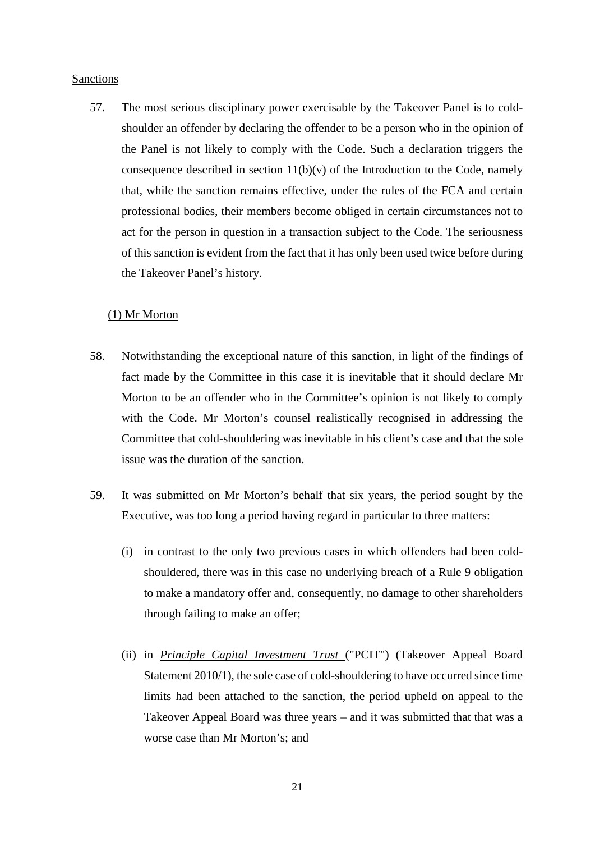#### Sanctions

57. The most serious disciplinary power exercisable by the Takeover Panel is to coldshoulder an offender by declaring the offender to be a person who in the opinion of the Panel is not likely to comply with the Code. Such a declaration triggers the consequence described in section  $11(b)(v)$  of the Introduction to the Code, namely that, while the sanction remains effective, under the rules of the FCA and certain professional bodies, their members become obliged in certain circumstances not to act for the person in question in a transaction subject to the Code. The seriousness of this sanction is evident from the fact that it has only been used twice before during the Takeover Panel's history.

#### (1) Mr Morton

- 58. Notwithstanding the exceptional nature of this sanction, in light of the findings of fact made by the Committee in this case it is inevitable that it should declare Mr Morton to be an offender who in the Committee's opinion is not likely to comply with the Code. Mr Morton's counsel realistically recognised in addressing the Committee that cold-shouldering was inevitable in his client's case and that the sole issue was the duration of the sanction.
- 59. It was submitted on Mr Morton's behalf that six years, the period sought by the Executive, was too long a period having regard in particular to three matters:
	- (i) in contrast to the only two previous cases in which offenders had been coldshouldered, there was in this case no underlying breach of a Rule 9 obligation to make a mandatory offer and, consequently, no damage to other shareholders through failing to make an offer;
	- (ii) in *Principle Capital Investment Trust* ("PCIT") (Takeover Appeal Board Statement 2010/1), the sole case of cold-shouldering to have occurred since time limits had been attached to the sanction, the period upheld on appeal to the Takeover Appeal Board was three years – and it was submitted that that was a worse case than Mr Morton's; and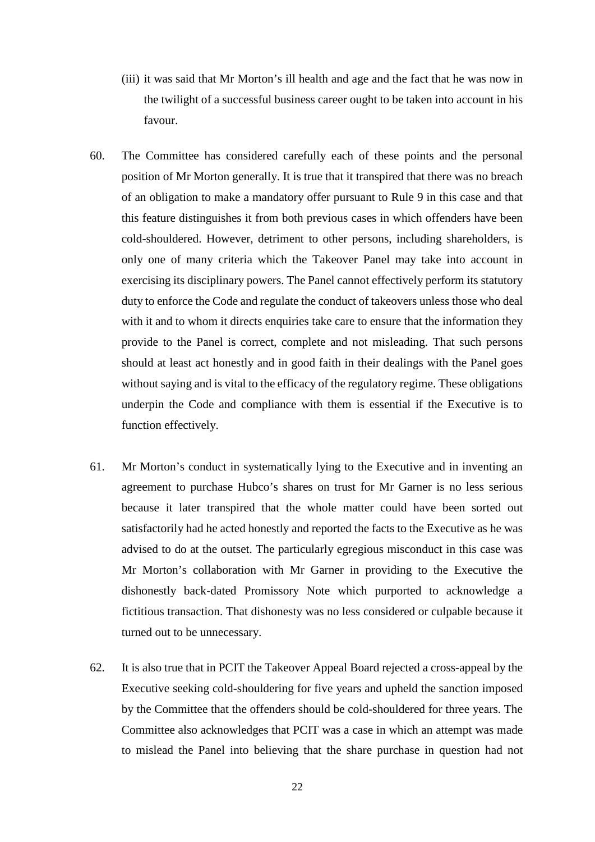- (iii) it was said that Mr Morton's ill health and age and the fact that he was now in the twilight of a successful business career ought to be taken into account in his favour.
- 60. The Committee has considered carefully each of these points and the personal position of Mr Morton generally. It is true that it transpired that there was no breach of an obligation to make a mandatory offer pursuant to Rule 9 in this case and that this feature distinguishes it from both previous cases in which offenders have been cold-shouldered. However, detriment to other persons, including shareholders, is only one of many criteria which the Takeover Panel may take into account in exercising its disciplinary powers. The Panel cannot effectively perform its statutory duty to enforce the Code and regulate the conduct of takeovers unless those who deal with it and to whom it directs enquiries take care to ensure that the information they provide to the Panel is correct, complete and not misleading. That such persons should at least act honestly and in good faith in their dealings with the Panel goes without saying and is vital to the efficacy of the regulatory regime. These obligations underpin the Code and compliance with them is essential if the Executive is to function effectively.
- 61. Mr Morton's conduct in systematically lying to the Executive and in inventing an agreement to purchase Hubco's shares on trust for Mr Garner is no less serious because it later transpired that the whole matter could have been sorted out satisfactorily had he acted honestly and reported the facts to the Executive as he was advised to do at the outset. The particularly egregious misconduct in this case was Mr Morton's collaboration with Mr Garner in providing to the Executive the dishonestly back-dated Promissory Note which purported to acknowledge a fictitious transaction. That dishonesty was no less considered or culpable because it turned out to be unnecessary.
- 62. It is also true that in PCIT the Takeover Appeal Board rejected a cross-appeal by the Executive seeking cold-shouldering for five years and upheld the sanction imposed by the Committee that the offenders should be cold-shouldered for three years. The Committee also acknowledges that PCIT was a case in which an attempt was made to mislead the Panel into believing that the share purchase in question had not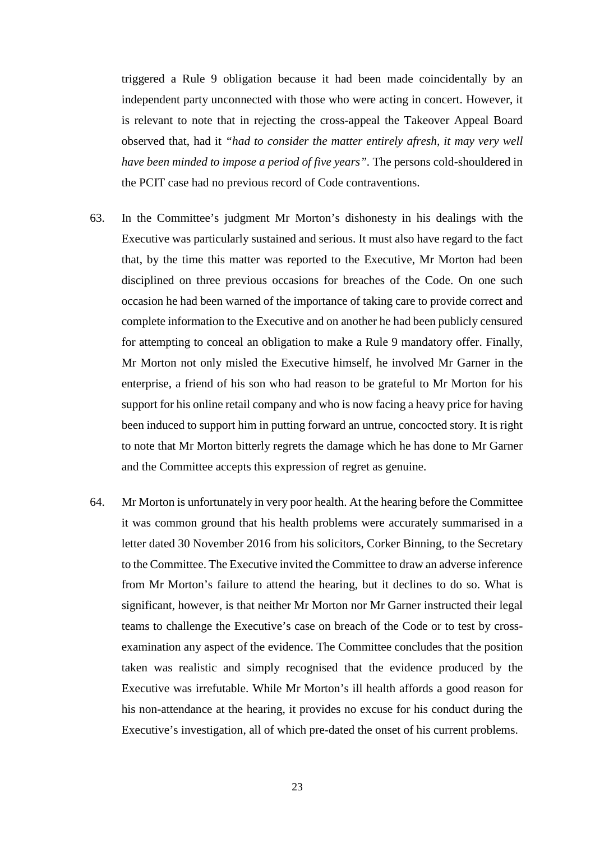triggered a Rule 9 obligation because it had been made coincidentally by an independent party unconnected with those who were acting in concert. However, it is relevant to note that in rejecting the cross-appeal the Takeover Appeal Board observed that, had it *"had to consider the matter entirely afresh, it may very well have been minded to impose a period of five years".* The persons cold-shouldered in the PCIT case had no previous record of Code contraventions.

- 63. In the Committee's judgment Mr Morton's dishonesty in his dealings with the Executive was particularly sustained and serious. It must also have regard to the fact that, by the time this matter was reported to the Executive, Mr Morton had been disciplined on three previous occasions for breaches of the Code. On one such occasion he had been warned of the importance of taking care to provide correct and complete information to the Executive and on another he had been publicly censured for attempting to conceal an obligation to make a Rule 9 mandatory offer. Finally, Mr Morton not only misled the Executive himself, he involved Mr Garner in the enterprise, a friend of his son who had reason to be grateful to Mr Morton for his support for his online retail company and who is now facing a heavy price for having been induced to support him in putting forward an untrue, concocted story. It is right to note that Mr Morton bitterly regrets the damage which he has done to Mr Garner and the Committee accepts this expression of regret as genuine.
- 64. Mr Morton is unfortunately in very poor health. At the hearing before the Committee it was common ground that his health problems were accurately summarised in a letter dated 30 November 2016 from his solicitors, Corker Binning, to the Secretary to the Committee. The Executive invited the Committee to draw an adverse inference from Mr Morton's failure to attend the hearing, but it declines to do so. What is significant, however, is that neither Mr Morton nor Mr Garner instructed their legal teams to challenge the Executive's case on breach of the Code or to test by crossexamination any aspect of the evidence. The Committee concludes that the position taken was realistic and simply recognised that the evidence produced by the Executive was irrefutable. While Mr Morton's ill health affords a good reason for his non-attendance at the hearing, it provides no excuse for his conduct during the Executive's investigation, all of which pre-dated the onset of his current problems.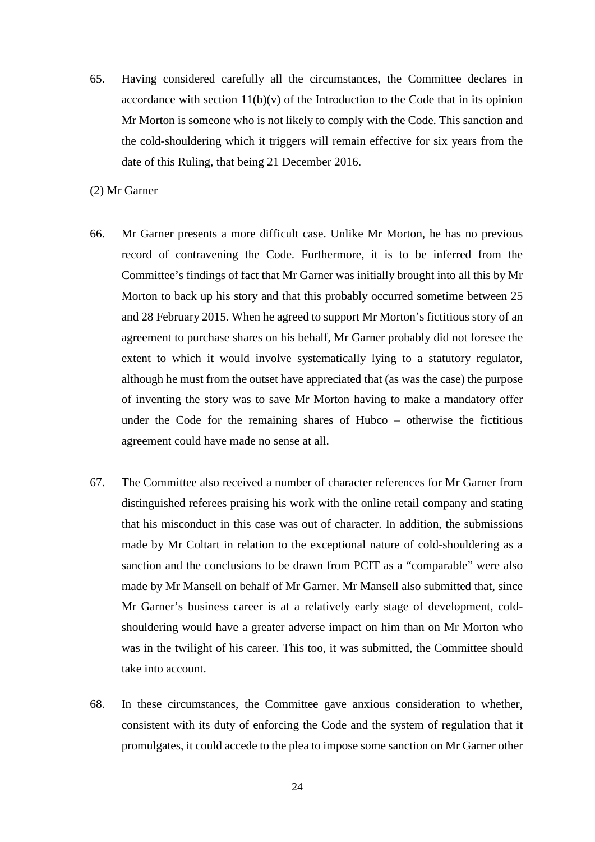65. Having considered carefully all the circumstances, the Committee declares in accordance with section  $11(b)(v)$  of the Introduction to the Code that in its opinion Mr Morton is someone who is not likely to comply with the Code. This sanction and the cold-shouldering which it triggers will remain effective for six years from the date of this Ruling, that being 21 December 2016.

#### (2) Mr Garner

- 66. Mr Garner presents a more difficult case. Unlike Mr Morton, he has no previous record of contravening the Code. Furthermore, it is to be inferred from the Committee's findings of fact that Mr Garner was initially brought into all this by Mr Morton to back up his story and that this probably occurred sometime between 25 and 28 February 2015. When he agreed to support Mr Morton's fictitious story of an agreement to purchase shares on his behalf, Mr Garner probably did not foresee the extent to which it would involve systematically lying to a statutory regulator, although he must from the outset have appreciated that (as was the case) the purpose of inventing the story was to save Mr Morton having to make a mandatory offer under the Code for the remaining shares of Hubco – otherwise the fictitious agreement could have made no sense at all.
- 67. The Committee also received a number of character references for Mr Garner from distinguished referees praising his work with the online retail company and stating that his misconduct in this case was out of character. In addition, the submissions made by Mr Coltart in relation to the exceptional nature of cold-shouldering as a sanction and the conclusions to be drawn from PCIT as a "comparable" were also made by Mr Mansell on behalf of Mr Garner. Mr Mansell also submitted that, since Mr Garner's business career is at a relatively early stage of development, coldshouldering would have a greater adverse impact on him than on Mr Morton who was in the twilight of his career. This too, it was submitted, the Committee should take into account.
- 68. In these circumstances, the Committee gave anxious consideration to whether, consistent with its duty of enforcing the Code and the system of regulation that it promulgates, it could accede to the plea to impose some sanction on Mr Garner other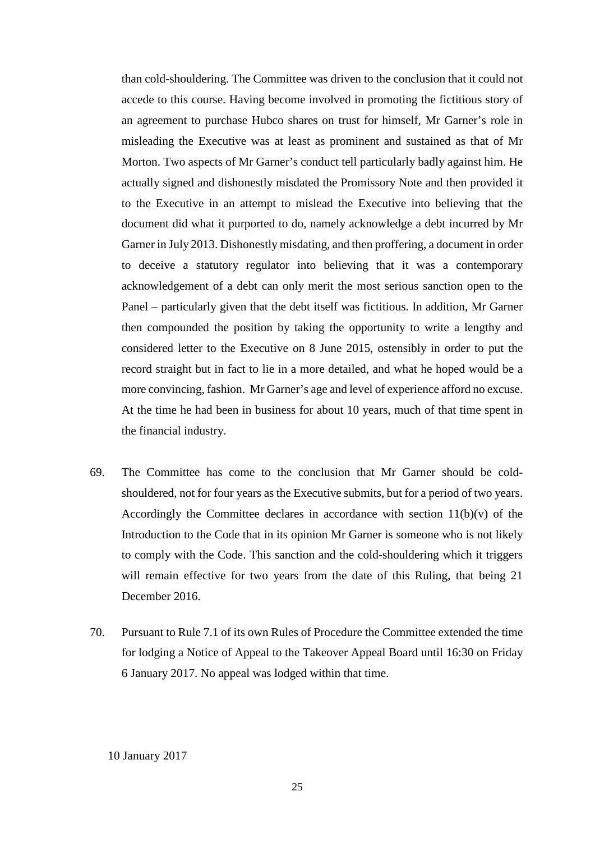than cold-shouldering. The Committee was driven to the conclusion that it could not accede to this course. Having become involved in promoting the fictitious story of an agreement to purchase Hubco shares on trust for himself, Mr Garner's role in misleading the Executive was at least as prominent and sustained as that of Mr Morton. Two aspects of Mr Garner's conduct tell particularly badly against him. He actually signed and dishonestly misdated the Promissory Note and then provided it to the Executive in an attempt to mislead the Executive into believing that the document did what it purported to do, namely acknowledge a debt incurred by Mr Garner in July 2013. Dishonestly misdating, and then proffering, a document in order to deceive a statutory regulator into believing that it was a contemporary acknowledgement of a debt can only merit the most serious sanction open to the Panel – particularly given that the debt itself was fictitious. In addition, Mr Garner then compounded the position by taking the opportunity to write a lengthy and considered letter to the Executive on 8 June 2015, ostensibly in order to put the record straight but in fact to lie in a more detailed, and what he hoped would be a more convincing, fashion. Mr Garner's age and level of experience afford no excuse. At the time he had been in business for about 10 years, much of that time spent in the financial industry.

- 69. The Committee has come to the conclusion that Mr Garner should be coldshouldered, not for four years as the Executive submits, but for a period of two years. Accordingly the Committee declares in accordance with section  $11(b)(v)$  of the Introduction to the Code that in its opinion Mr Garner is someone who is not likely to comply with the Code. This sanction and the cold-shouldering which it triggers will remain effective for two years from the date of this Ruling, that being 21 December 2016.
- 70. Pursuant to Rule 7.1 of its own Rules of Procedure the Committee extended the time for lodging a Notice of Appeal to the Takeover Appeal Board until 16:30 on Friday 6 January 2017. No appeal was lodged within that time.

10 January 2017